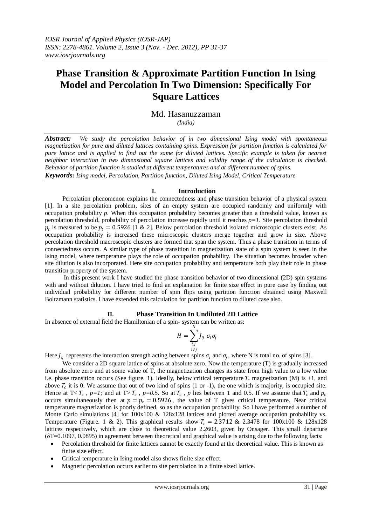# **Phase Transition & Approximate Partition Function In Ising Model and Percolation In Two Dimension: Specifically For Square Lattices**

# Md. Hasanuzzaman *(India)*

*Abstract: We study the percolation behavior of in two dimensional Ising model with spontaneous magnetization for pure and diluted lattices containing spins. Expression for partition function is calculated for pure lattice and is applied to find out the same for diluted lattices. Specific example is taken for nearest neighbor interaction in two dimensional square lattices and validity range of the calculation is checked. Behavior of partition function is studied at different temperatures and at different number of spins. Keywords: Ising model, Percolation, Partition function, Diluted Ising Model, Critical Temperature*

# **I. Introduction**

 Percolation phenomenon explains the connectedness and phase transition behavior of a physical system [1]. In a site percolation problem, sites of an empty system are occupied randomly and uniformly with occupation probability *p*. When this occupation probability becomes greater than a threshold value, known as percolation threshold, probability of percolation increase rapidly until it reaches *p=1*. Site percolation threshold  $p_t$  is measured to be  $p_t = 0.5926$  [1 & 2]. Below percolation threshold isolated microscopic clusters exist. As occupation probability is increased these microscopic clusters merge together and grow in size. Above percolation threshold macroscopic clusters are formed that span the system. Thus a phase transition in terms of connectedness occurs. A similar type of phase transition in magnetization state of a spin system is seen in the Ising model, where temperature plays the role of occupation probability. The situation becomes broader when site dilution is also incorporated. Here site occupation probability and temperature both play their role in phase transition property of the system.

 In this present work I have studied the phase transition behavior of two dimensional (2D) spin systems with and without dilution. I have tried to find an explanation for finite size effect in pure case by finding out individual probability for different number of spin flips using partition function obtained using Maxwell Boltzmann statistics. I have extended this calculation for partition function to diluted case also.

# **II. Phase Transition In Undiluted 2D Lattice**

In absence of external field the Hamiltonian of a spin- system can be written as:

$$
H = \sum_{\substack{i,j\\i \neq j}}^N J_{ij} \ \sigma_i \sigma_j
$$

Here  $J_{ij}$  represents the interaction strength acting between spins  $\sigma_i$  and  $\sigma_j$ , where N is total no. of spins [3].

We consider a 2D square lattice of spins at absolute zero. Now the temperature (T) is gradually increased from absolute zero and at some value of T, the magnetization changes its state from high value to a low value i.e. phase transition occurs (See figure. 1). Ideally, below critical temperature  $T_c$  magnetization (M) is  $\pm 1$ , and above  $T_c$  it is 0. We assume that out of two kind of spins (1 or -1), the one which is majority, is occupied site. Hence at  $T < T_c$ ,  $p=1$ ; and at  $T > T_c$ ,  $p=0.5$ . So at  $T_c$ ,  $p$  lies between 1 and 0.5. If we assume that  $T_c$  and  $p_c$ occurs simultaneously then at  $p = p_c = 0.5926$ , the value of T gives critical temperature. Near critical temperature magnetization is poorly defined, so as the occupation probability. So I have performed a number of Monte Carlo simulations [4] for 100x100 & 128x128 lattices and plotted average occupation probability vs. Temperature (Figure. 1 & 2). This graphical results show  $T_c = 2.3712$  & 2.3478 for 100x100 & 128x128 lattices respectively, which are close to theoretical value 2.2603, given by Onsager. This small departure (δT=0.1097, 0.0895) in agreement between theoretical and graphical value is arising due to the following facts:

- Percolation threshold for finite lattices cannot be exactly found at the theoretical value. This is known as finite size effect.
- Critical temperature in Ising model also shows finite size effect.
- Magnetic percolation occurs earlier to site percolation in a finite sized lattice.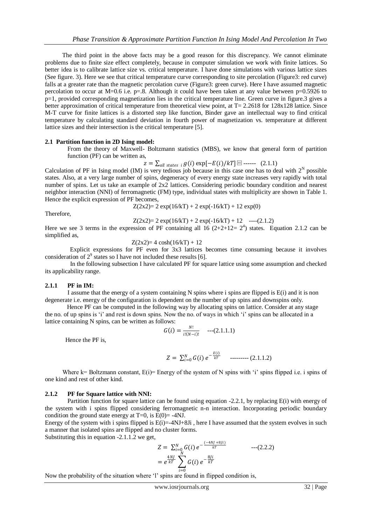The third point in the above facts may be a good reason for this discrepancy. We cannot eliminate problems due to finite size effect completely, because in computer simulation we work with finite lattices. So better idea is to calibrate lattice size vs. critical temperature. I have done simulations with various lattice sizes (See figure. 3). Here we see that critical temperature curve corresponding to site percolation (Figure3: red curve) falls at a greater rate than the magnetic percolation curve (Figure3: green curve). Here I have assumed magnetic percolation to occur at M=0.6 i.e. p=.8. Although it could have been taken at any value between p=0.5926 to p=1, provided corresponding magnetization lies in the critical temperature line. Green curve in figure.3 gives a better approximation of critical temperature from theoretical view point, at T= 2.2618 for 128x128 lattice. Since M-T curve for finite lattices is a distorted step like function, Binder gave an intellectual way to find critical temperature by calculating standard deviation in fourth power of magnetization vs. temperature at different lattice sizes and their intersection is the critical temperature [5].

### **2.1 Partition function in 2D Ising model:**

From the theory of Maxwell- Boltzmann statistics (MBS), we know that general form of partition function (PF) can be written as,

 $z = \sum_{all \; states \; i} g(i) \exp[-E(i)/k] \; \text{or} \; - \cdots \; (2.1.1)$ 

Calculation of PF in Ising model (IM) is very tedious job because in this case one has to deal with  $2^N$  possible states. Also, at a very large number of spins, degeneracy of every energy state increases very rapidly with total number of spins. Let us take an example of 2x2 lattices. Considering periodic boundary condition and nearest neighbor interaction (NNI) of ferromagnetic (FM) type, individual states with multiplicity are shown in Table 1. Hence the explicit expression of PF becomes,

 $Z(2x2)=2 \exp(16/kT) + 2 \exp(-16/kT) + 12 \exp(0)$ 

Therefore,

 $Z(2x2)=2 \exp(16/kT) + 2 \exp(-16/kT) + 12$  ----(2.1.2)

Here we see 3 terms in the expression of PF containing all  $16 (2+2+12=2^4)$  states. Equation 2.1.2 can be simplified as,

 $Z(2x2)=4 \cosh(16/kT) + 12$ 

 Explicit expressions for PF even for 3x3 lattices becomes time consuming because it involves consideration of  $2^9$  states so I have not included these results [6].

 In the following subsection I have calculated PF for square lattice using some assumption and checked its applicability range.

### **2.1.1 PF in IM:**

I assume that the energy of a system containing N spins where i spins are flipped is  $E(i)$  and it is non degenerate i.e. energy of the configuration is dependent on the number of up spins and downspins only.

 Hence PF can be computed in the following way by allocating spins on lattice. Consider at any stage the no. of up spins is 'i' and rest is down spins. Now the no. of ways in which 'i' spins can be allocated in a lattice containing N spins, can be written as follows:

$$
G(i) = \frac{N!}{i!(N-i)!} \quad ---(2.1.1.1)
$$

Hence the PF is,

$$
Z = \sum_{i=0}^{N} G(i) e^{-\frac{E(i)}{kT}} \qquad \qquad \ldots \qquad (2.1.1.2)
$$

Where  $k=$  Boltzmann constant,  $E(i)=$  Energy of the system of N spins with 'i' spins flipped i.e. i spins of one kind and rest of other kind.

### **2.1.2 PF for Square lattice with NNI:**

 Partition function for square lattice can be found using equation -2.2.1, by replacing E(i) with energy of the system with i spins flipped considering ferromagnetic n-n interaction. Incorporating periodic boundary condition the ground state energy at  $T=0$ , is  $E(0) = -4NJ$ .

Energy of the system with i spins flipped is  $E(i) = -4NJ+8Ji$ , here I have assumed that the system evolves in such a manner that isolated spins are flipped and no cluster forms.

Substituting this in equation -2.1.1.2 we get,

$$
Z = \sum_{i=0}^{N} G(i) e^{-\frac{(-4NJ + 8Ji)}{kT}} \qquad ---(2.2.2)
$$
  
=  $e^{\frac{4NJ}{kT}} \sum_{i=0}^{N} G(i) e^{-\frac{8Ji}{kT}}$ 

Now the probability of the situation where 'l' spins are found in flipped condition is,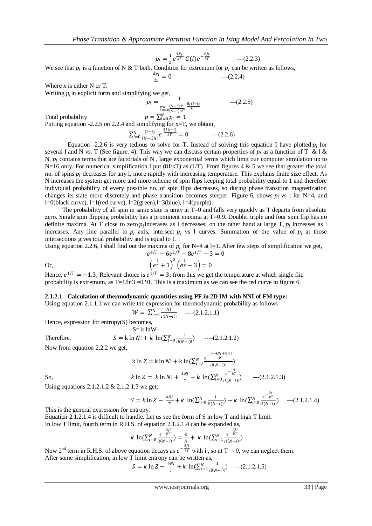$p_l = \frac{1}{z}$  $\frac{1}{Z}e^{\frac{4NJ}{kT}}G(l)e^{-\frac{8Il}{kT}}$  ---(2.2.3)

We see that  $p_l$  is a function of N & T both. Condition for extremum for  $p_l$  can be written as follows,

$$
\frac{dp_l}{dx} = 0 \qquad \qquad ---(2.2.4)
$$

Where x is either N or T.

Writing  $p_i$  in explicit form and simplifying we get,

$$
p_l = \frac{1}{\sum_{i=0}^{N} \frac{(N-l)!l!}{(N-i)!l!} e^{\frac{8j(l-i)}{kT}}} \qquad \qquad \text{---}(2.2.5)
$$

Total probability  $p = \sum_{l=0}^{N} p_l = 1$ Putting equation  $-2.2.5$  on 2.2.4 and simplifying for  $x=T$ , we obtain,  $\sum_{i=0}^{N} \frac{(l-i)}{(N-i)!}$  $\frac{N}{(k-1)(N-i)(1+i)} e^{\frac{8j(1-i)}{kT}} = 0$  --- (2.2.6)

 $(N - i)! i!$ 

Equation -2.2.6 is very tedious to solve for T. Instead of solving this equation I have plotted  $p_l$  for several l and N vs. T (See figure. 4). This way we can discuss certain properties of  $p_1$  as a function of T & l & N.  $p_i$  contains terms that are factorials of N, large exponential terms which limit our computer simulation up to N=16 only. For numerical simplification I put (8J/kT) as (1/T). From figures 4 & 5 we see that greater the total no. of spins  $p_i$  decreases for any l, more rapidly with increasing temperature. This explains finite size effect. As N increases the system get more and more scheme of spin flips keeping total probability equal to 1 and therefore individual probability of every possible no. of spin flips decreases, so during phase transition magnetization changes its state more discretely and phase transition becomes steeper. Figure 6, shows  $p_l$  vs 1 for N=4, and l=0(black curve), l=1(red curve), l=2(green),l=3(blue), l=4(purple).

The probability of all spin in same state is unity at  $T=0$  and falls very quickly as T departs from absolute zero. Single spin flipping probability has a prominent maxima at T=0.9. Double, triple and four spin flip has no definite maxima. At T close to zero  $p_l$  incerases as l decreases; on the other hand at large T,  $p_l$  increases as l increases. Any line parallel to  $p_l$  axis, intersect  $p_l$  vs 1 curves. Summation of the value of  $p_l$  at those intersections gives total probability and is equal to 1.

Using equation 2.2.6, I shall find out the maxima of  $p_l$  for N=4 at l=1. After few steps of simplification we get,

or,  
\n
$$
e^{4/T} - 6e^{2/T} - 8e^{1/T} - 3 = 0
$$
\n
$$
\left(e^{\frac{1}{T}} + 1\right)^3 \left(e^{\frac{1}{T}} - 3\right) = 0
$$

Hence,  $e^{1/T} = -1,3$ ; Relevant choice is  $e^{1/T} = 3$ ; from this we get the temperature at which single flip probability is extremum, as  $T=1/\ln 3 = 0.91$ . This is a maximum as we can see the red curve in figure 6.

# **2.1.2.1 Calculation of thermodynamic quantities using PF in 2D IM with NNI of FM type:**

Using equation 2.1.1.1 we can write the expression for thermodynamic probability as follows

$$
W = \sum_{i=0}^{N} \frac{N!}{i!(N-i)!} \quad --- (2.1.2.1.1)
$$

Hence, expression for entropy(S) becomes,  $S = 1.3$  k  $W$ 

Therefore, 
$$
S = k \ln N! + k \ln(\sum_{i=0}^{N} \frac{1}{i!(N-i)!})
$$
 --- (2.1.2.1.2)

Now from equation 2.2.2 we get,

So,  
\n
$$
k \ln Z = k \ln N! + k \ln(\sum_{i=0}^{N} \frac{e^{-\frac{(-4NJ + 8Ji)}{kT}}}{i!(N-i)!})
$$
\n
$$
k \ln Z = k \ln N! + \frac{4NJ}{T} + k \ln(\sum_{i=0}^{N} \frac{e^{-\frac{8Ji}{kT}}}{i!(N-i)!}) \qquad ---(2.1.2.1.3)
$$

Using equations 2.1.2.1.2 & 2.1.2.1.3 we get,

$$
S = k \ln Z - \frac{4NJ}{T} + k \ln(\sum_{i=0}^{N} \frac{1}{i!(N-i)!}) - k \ln(\sum_{i=0}^{N} \frac{e^{-\frac{\omega_i}{kT}}}{i!(N-i)!})
$$
---(2.1.2.1.4)

 $\mathbf{0}$   $\mathbf{I}$ 

This is the general expression for entropy.

Equation 2.1.2.1.4 is difficult to handle. Let us see the form of S in low T and high T limit. In low T limit, fourth term in R.H.S. of equation 2.1.2.1.4 can be expanded as,

$$
k \ln(\sum_{i=0}^{N} \frac{e^{-\frac{B}{kT}}}{i!(N-i)!}) = \frac{k}{N!} + k \ln(\sum_{i=1}^{N} \frac{e^{-\frac{B}{kT}}}{i!(N-i)!})
$$

Now 2<sup>nd</sup> term in R.H.S. of above equation decays as  $e^{-\frac{8Ji}{kT}}$  with i, so at T $\rightarrow$  0, we can neglect them. After some simplification, in low T limit entropy can be written as,

$$
S = k \ln Z - \frac{4NJ}{T} + k \ln(\sum_{i=1}^{N} \frac{1}{i!(N-i)!})
$$
 --- (2.1.2.1.5)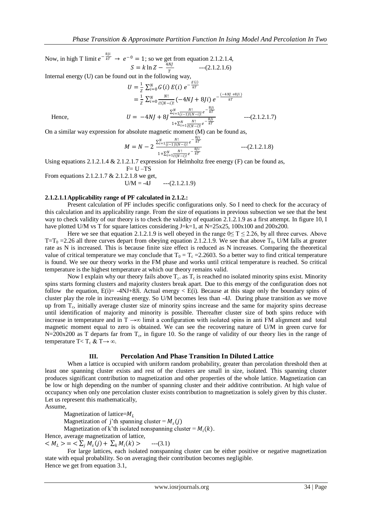Now, in high T limit  $e^{-\frac{8ji}{kT}} \to e^{-0} = 1$ ; so we get from equation 2.1.2.1.4,  $S = k \ln Z - \frac{4NJ}{T}$  $\boldsymbol{T}$  $--(2.1.2.1.6)$ 

Internal energy (U) can be found out in the following way,

$$
U = \frac{1}{Z} \sum_{i=0}^{N} G(i) E(i) e^{-\frac{E(i)}{kT}}
$$
  
\n
$$
= \frac{1}{Z} \sum_{i=0}^{N} \frac{N!}{i!(N-i)!} (-4NJ + 8Ji) e^{-\frac{(-4NJ + 8Ji)}{kT}}
$$
  
\nHence,  
\n
$$
U = -4NJ + 8J \frac{\sum_{i=1}^{N} \frac{N!}{(i-1)!(N-i)!} e^{-\frac{8Ji}{kT}}}{1 + \sum_{i=1}^{N} \frac{N!}{i!(N-i)!} e^{-\frac{8Ji}{kT}}} \qquad ---(2.1.2.1.7)
$$

Hence,

On a similar way expression for absolute magnetic moment (M) can be found as,

$$
M = N - 2 \frac{\sum_{i=1}^{N} \frac{N!}{(i-1)!(N-i)!} e^{-\frac{8ji}{kT}}}{1 + \sum_{i=1}^{N} \frac{N!}{i!(N-i)!} e^{-\frac{8ji}{kT}}} \qquad \qquad ---(2.1.2.1.8)
$$

Using equations 2.1.2.1.4 & 2.1.2.1.7 expression for Helmholtz free energy (F) can be found as,

$$
F = U - \dot{T}S
$$

From equations 2.1.2.1.7 & 2.1.2.1.8 we get,

 $U/M = -4J$  ---(2.1.2.1.9)

### **2.1.2.1.1Applicability range of PF calculated in 2.1.2.:**

 Present calculation of PF includes specific configurations only. So I need to check for the accuracy of this calculation and its applicability range. From the size of equations in previous subsection we see that the best way to check validity of our theory is to check the validity of equation 2.1.2.1.9 as a first attempt. In figure 10, I have plotted U/M vs T for square lattices considering J=k=1, at N=25x25, 100x100 and 200x200.

Here we see that equation 2.1.2.1.9 is well obeyed in the range  $0 \le T \le 2.26$ , by all three curves. Above  $T=T_0 = 2.26$  all three curves depart from obeying equation 2.1.2.1.9. We see that above  $T_0$ , U/M falls at greater rate as N is increased. This is because finite size effect is reduced as N increases. Comparing the theoretical value of critical temperature we may conclude that  $T_0 = T_c = 2.2603$ . So a better way to find critical temperature is found. We see our theory works in the FM phase and works until critical temperature is reached. So critical temperature is the highest temperature at which our theory remains valid.

Now I explain why our theory fails above  $T_c$  as  $T_c$  is reached no isolated minority spins exist. Minority spins starts forming clusters and majority clusters break apart. Due to this energy of the configuration does not follow the equation,  $E(i) = -4NJ+8Ji$ . Actual energy  $\lt E(i)$ . Because at this stage only the boundary spins of cluster play the role in increasing energy. So U/M becomes less than -4J. During phase transition as we move up from T<sub>c</sub>, initially average cluster size of minority spins increase and the same for majority spins decrease until identification of majority and minority is possible. Thereafter cluster size of both spins reduce with increase in temperature and in  $T \rightarrow \infty$  limit a configuration with isolated spins in anti FM alignment and total magnetic moment equal to zero is obtained. We can see the recovering nature of U/M in green curve for  $N=200x200$  as T departs far from  $T_c$ , in figure 10. So the range of validity of our theory lies in the range of temperature T< T<sub>c</sub> & T $\rightarrow \infty$ .

### **III. Percolation And Phase Transition In Diluted Lattice**

 When a lattice is occupied with uniform random probability, greater than percolation threshold then at least one spanning cluster exists and rest of the clusters are small in size, isolated. This spanning cluster produces significant contribution to magnetization and other properties of the whole lattice. Magnetization can be low or high depending on the number of spanning cluster and their additive contribution. At high value of occupancy when only one percolation cluster exists contribution to magnetization is solely given by this cluster. Let us represent this mathematically,

Assume,

Magnetization of lattice= $M_L$ 

Magnetization of j'th spanning cluster =  $M_s(j)$ 

Magnetization of k'th isolated nonspanning cluster =  $M_i(k)$ .

Hence, average magnetization of lattice,

 $\langle M_L \rangle = \langle \sum_j M_s(j) + \sum_k M_i \rangle$  $--(3.1)$ 

For large lattices, each isolated nonspanning cluster can be either positive or negative magnetization state with equal probability. So on averaging their contribution becomes negligible. Hence we get from equation 3.1,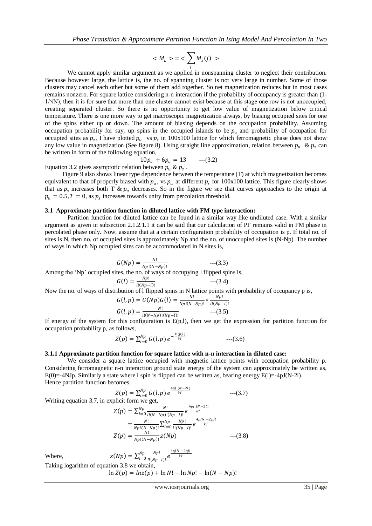$$
=<\sum_j M_s(j)>
$$

We cannot apply similar argument as we applied in nonspanning cluster to neglect their contribution. Because however large, the lattice is, the no. of spanning cluster is not very large in number. Some of those clusters may cancel each other but some of them add together. So net magnetization reduces but in most cases remains nonzero. For square lattice considering n-n interaction if the probability of occupancy is greater than (1-  $1/\sqrt{N}$ ), then it is for sure that more than one cluster cannot exist because at this stage one row is not unoccupied, creating separated cluster. So there is no opportunity to get low value of magnetization below critical temperature. There is one more way to get macroscopic magnetization always, by biasing occupied sites for one of the spins either up or down. The amount of biasing depends on the occupation probability. Assuming occupation probability for say, up spins in the occupied islands to be  $p_u$  and probability of occupation for occupied sites as  $p_s$ , I have plotted  $p_u$  vs  $p_s$  in 100x100 lattice for which ferromagnetic phase does not show any low value in magnetization (See figure 8). Using straight line approximation, relation between  $p_u \& p_s$  can be written in form of the following equation,

$$
10p_s + 6p_u = 13 \qquad ---(3.2)
$$

Equation 3.2 gives asymptotic relation between  $p_u \& p_s$ .

 Figure 9 also shows linear type dependence between the temperature (T) at which magnetization becomes equivalent to that of properly biased with  $p_u$ , vs  $p_u$  at different  $p_s$  for 100x100 lattice. This figure clearly shows that as  $p_s$  increases both T &  $p_u$  decreases. So in the figure we see that curves approaches to the origin at  $p_u = 0.5, T = 0$ , as  $p_s$  increases towards unity from percolation threshold.

### **3.1 Approximate partition function in diluted lattice with FM type interaction:**

 Partition function for diluted lattice can be found in a similar way like undiluted case. With a similar argument as given in subsection 2.1.2.1.1 it can be said that our calculation of PF remains valid in FM phase in percolated phase only. Now, assume that at a certain configuration probability of occupation is p. If total no. of sites is N, then no. of occupied sites is approximately Np and the no. of unoccupied sites is (N-Np). The number of ways in which Np occupied sites can be accommodated in N sites is,

$$
G(Np) = \frac{N!}{Np!(N-Np)!} \qquad \qquad \text{---}(3.3)
$$
\nAmong the 'Nn' occupied sites, the no. of ways of occurring 1 flipped spins.

Among the 'Np' occupied sites, the no. of ways of occupying l flipped spins is,

$$
G(l) = \frac{Np!}{l!(Np-l)!}
$$
  
Now the no. of ways of distribution of 1 flinned spins in N last

Now the no. of ways of distribution of 1 flipped spins in N lattice points with probability of occupancy p is,

$$
G(l, p) = G(Np)G(l) = \frac{N!}{Np!(N-Np)!} * \frac{Np!}{l!(Np-l)!}
$$

$$
G(l, p) = \frac{N!}{l!(N-Np)!(Np-l)!} \qquad \qquad \text{---}(3.5)
$$

If energy of the system for this configuration is  $E(p,l)$ , then we get the expression for partition function for occupation probability p, as follows,

 $---(3.4)$ 

$$
Z(p) = \sum_{l=0}^{Np} G(l,p) e^{-\frac{E(p,l)}{kT}} \qquad \qquad \text{---}(3.6)
$$

#### **3.1.1 Approximate partition function for square lattice with n-n interaction in diluted case:**

 We consider a square lattice occupied with magnetic lattice points with occupation probability p. Considering ferromagnetic n-n interaction ground state energy of the system can approximately be written as, E(0)=-4NJp. Similarly a state where l spin is flipped can be written as, bearing energy E(1)=-4pJ(N-2l). Hence partition function becomes,

$$
Z(p) = \sum_{l=0}^{Np} G(l, p) e^{\frac{4pl (N-2l)}{kT}} \qquad \qquad \text{---}(3.7)
$$
  
Writing equation 3.7, in explicit form we get,  

$$
Z(p) = \sum_{l=0}^{Np} \frac{N!}{l!(N-Np)!(Np-l)!} e^{\frac{4pl (N-2l)}{kT}}
$$

$$
= \frac{N!}{Np!(N-Np)!} \sum_{l=0}^{Np} \frac{Np!}{l!(Np-l)!} e^{\frac{4p/N-2pl}{kT}}
$$

$$
Z(p) = \frac{N!}{Np!(N-Np)!} Z(Np) \qquad \qquad \text{---}(3.8)
$$

Where,  $z(Np) = \sum_{l=0}^{Np} \frac{Np!}{l!(N!)}$  $l!(Np-l)!$  $Np$  $\frac{Np}{l!} \frac{Np!}{l!(Np-l)!} e^{\frac{4p/N-2p/l}{kT}}$ 

Taking logarithm of equation 3.8 we obtain,

 $\ln Z(p) = \ln z(p) + \ln N! - \ln Np! - \ln(N - Np)!$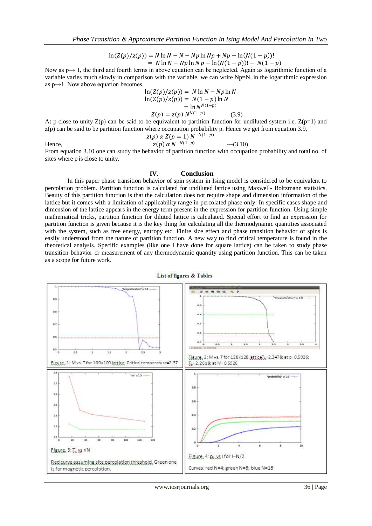$\ln(Z(p)/z(p)) = N \ln N - N - Np \ln Np + Np - \ln(N(1-p))!$  $= N \ln N - Np \ln N p - \ln(N(1-p)) - N(1-p)$ 

Now as p→ 1, the third and fourth terms in above equation can be neglected. Again as logarithmic function of a variable varies much slowly in comparison with the variable, we can write Np=N, in the logarithmic expression as  $p \rightarrow 1$ . Now above equation becomes,

$$
\ln(Z(p)/z(p)) = N \ln N - Np \ln N \n\ln(Z(p)/z(p)) = N(1-p) \ln N \n= \ln N^{N(1-p)} \nZ(p) = z(p) N^{N(1-p)} \qquad ---(3.9)
$$

At p close to unity  $Z(p)$  can be said to be equivalent to partition function for undiluted system i.e.  $Z(p=1)$  and  $z(p)$  can be said to be partition function where occupation probability p. Hence we get from equation 3.9,  $z(p)$   $\alpha$   $Z(p = 1)$   $N^{-N(1-p)}$ 

Hence, 
$$
z(p) \alpha N^{-N(1-p)}
$$
 ---(3.10)

From equation 3.10 one can study the behavior of partition function with occupation probability and total no. of sites where p is close to unity.

### **IV. Conclusion**

 In this paper phase transition behavior of spin system in Ising model is considered to be equivalent to percolation problem. Partition function is calculated for undiluted lattice using Maxwell- Boltzmann statistics. Beauty of this partition function is that the calculation does not require shape and dimension information of the lattice but it comes with a limitation of applicability range in percolated phase only. In specific cases shape and dimension of the lattice appears in the energy term present in the expression for partition function. Using simple mathematical tricks, partition function for diluted lattice is calculated. Special effort to find an expression for partition function is given because it is the key thing for calculating all the thermodynamic quantities associated with the system, such as free energy, entropy etc. Finite size effect and phase transition behavior of spins is easily understood from the nature of partition function. A new way to find critical temperature is found in the theoretical analysis. Specific examples (like one I have done for square lattice) can be taken to study phase transition behavior or measurement of any thermodynamic quantity using partition function. This can be taken as a scope for future work.



List of figures & Tables